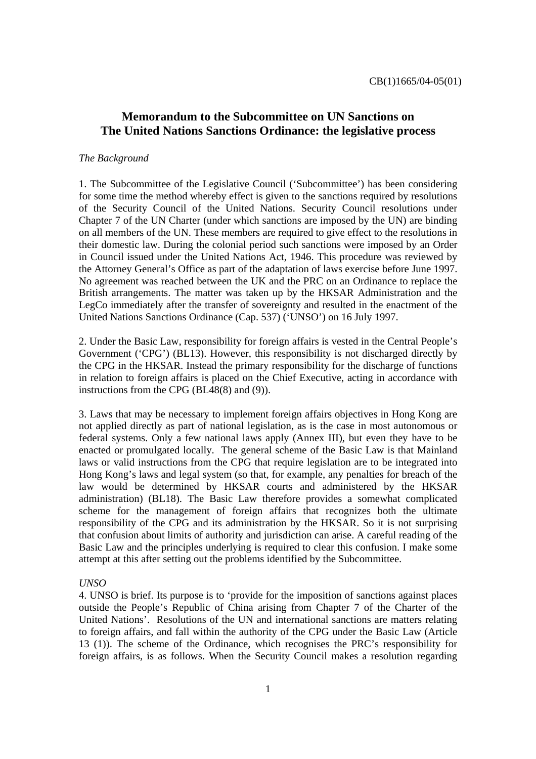# **Memorandum to the Subcommittee on UN Sanctions on The United Nations Sanctions Ordinance: the legislative process**

#### *The Background*

1. The Subcommittee of the Legislative Council ('Subcommittee') has been considering for some time the method whereby effect is given to the sanctions required by resolutions of the Security Council of the United Nations. Security Council resolutions under Chapter 7 of the UN Charter (under which sanctions are imposed by the UN) are binding on all members of the UN. These members are required to give effect to the resolutions in their domestic law. During the colonial period such sanctions were imposed by an Order in Council issued under the United Nations Act, 1946. This procedure was reviewed by the Attorney General's Office as part of the adaptation of laws exercise before June 1997. No agreement was reached between the UK and the PRC on an Ordinance to replace the British arrangements. The matter was taken up by the HKSAR Administration and the LegCo immediately after the transfer of sovereignty and resulted in the enactment of the United Nations Sanctions Ordinance (Cap. 537) ('UNSO') on 16 July 1997.

2. Under the Basic Law, responsibility for foreign affairs is vested in the Central People's Government ('CPG') (BL13). However, this responsibility is not discharged directly by the CPG in the HKSAR. Instead the primary responsibility for the discharge of functions in relation to foreign affairs is placed on the Chief Executive, acting in accordance with instructions from the CPG (BL48(8) and (9)).

3. Laws that may be necessary to implement foreign affairs objectives in Hong Kong are not applied directly as part of national legislation, as is the case in most autonomous or federal systems. Only a few national laws apply (Annex III), but even they have to be enacted or promulgated locally. The general scheme of the Basic Law is that Mainland laws or valid instructions from the CPG that require legislation are to be integrated into Hong Kong's laws and legal system (so that, for example, any penalties for breach of the law would be determined by HKSAR courts and administered by the HKSAR administration) (BL18). The Basic Law therefore provides a somewhat complicated scheme for the management of foreign affairs that recognizes both the ultimate responsibility of the CPG and its administration by the HKSAR. So it is not surprising that confusion about limits of authority and jurisdiction can arise. A careful reading of the Basic Law and the principles underlying is required to clear this confusion. I make some attempt at this after setting out the problems identified by the Subcommittee.

#### *UNSO*

4. UNSO is brief. Its purpose is to 'provide for the imposition of sanctions against places outside the People's Republic of China arising from Chapter 7 of the Charter of the United Nations'. Resolutions of the UN and international sanctions are matters relating to foreign affairs, and fall within the authority of the CPG under the Basic Law (Article 13 (1)). The scheme of the Ordinance, which recognises the PRC's responsibility for foreign affairs, is as follows. When the Security Council makes a resolution regarding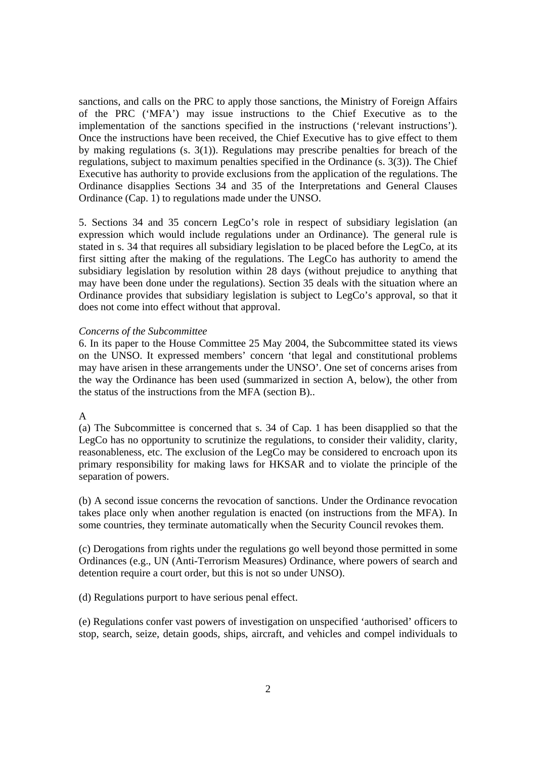sanctions, and calls on the PRC to apply those sanctions, the Ministry of Foreign Affairs of the PRC ('MFA') may issue instructions to the Chief Executive as to the implementation of the sanctions specified in the instructions ('relevant instructions'). Once the instructions have been received, the Chief Executive has to give effect to them by making regulations (s. 3(1)). Regulations may prescribe penalties for breach of the regulations, subject to maximum penalties specified in the Ordinance (s. 3(3)). The Chief Executive has authority to provide exclusions from the application of the regulations. The Ordinance disapplies Sections 34 and 35 of the Interpretations and General Clauses Ordinance (Cap. 1) to regulations made under the UNSO.

5. Sections 34 and 35 concern LegCo's role in respect of subsidiary legislation (an expression which would include regulations under an Ordinance). The general rule is stated in s. 34 that requires all subsidiary legislation to be placed before the LegCo, at its first sitting after the making of the regulations. The LegCo has authority to amend the subsidiary legislation by resolution within 28 days (without prejudice to anything that may have been done under the regulations). Section 35 deals with the situation where an Ordinance provides that subsidiary legislation is subject to LegCo's approval, so that it does not come into effect without that approval.

### *Concerns of the Subcommittee*

6. In its paper to the House Committee 25 May 2004, the Subcommittee stated its views on the UNSO. It expressed members' concern 'that legal and constitutional problems may have arisen in these arrangements under the UNSO'. One set of concerns arises from the way the Ordinance has been used (summarized in section A, below), the other from the status of the instructions from the MFA (section B)..

#### A

(a) The Subcommittee is concerned that s. 34 of Cap. 1 has been disapplied so that the LegCo has no opportunity to scrutinize the regulations, to consider their validity, clarity, reasonableness, etc. The exclusion of the LegCo may be considered to encroach upon its primary responsibility for making laws for HKSAR and to violate the principle of the separation of powers.

(b) A second issue concerns the revocation of sanctions. Under the Ordinance revocation takes place only when another regulation is enacted (on instructions from the MFA). In some countries, they terminate automatically when the Security Council revokes them.

(c) Derogations from rights under the regulations go well beyond those permitted in some Ordinances (e.g., UN (Anti-Terrorism Measures) Ordinance, where powers of search and detention require a court order, but this is not so under UNSO).

(d) Regulations purport to have serious penal effect.

(e) Regulations confer vast powers of investigation on unspecified 'authorised' officers to stop, search, seize, detain goods, ships, aircraft, and vehicles and compel individuals to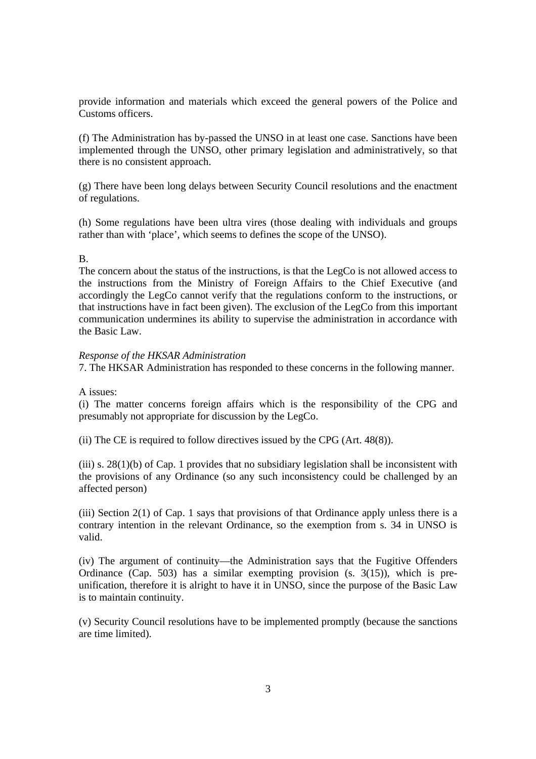provide information and materials which exceed the general powers of the Police and Customs officers.

(f) The Administration has by-passed the UNSO in at least one case. Sanctions have been implemented through the UNSO, other primary legislation and administratively, so that there is no consistent approach.

(g) There have been long delays between Security Council resolutions and the enactment of regulations.

(h) Some regulations have been ultra vires (those dealing with individuals and groups rather than with 'place', which seems to defines the scope of the UNSO).

### B.

The concern about the status of the instructions, is that the LegCo is not allowed access to the instructions from the Ministry of Foreign Affairs to the Chief Executive (and accordingly the LegCo cannot verify that the regulations conform to the instructions, or that instructions have in fact been given). The exclusion of the LegCo from this important communication undermines its ability to supervise the administration in accordance with the Basic Law.

### *Response of the HKSAR Administration*

7. The HKSAR Administration has responded to these concerns in the following manner.

### A issues:

(i) The matter concerns foreign affairs which is the responsibility of the CPG and presumably not appropriate for discussion by the LegCo.

(ii) The CE is required to follow directives issued by the CPG (Art. 48(8)).

(iii) s.  $28(1)(b)$  of Cap. 1 provides that no subsidiary legislation shall be inconsistent with the provisions of any Ordinance (so any such inconsistency could be challenged by an affected person)

(iii) Section 2(1) of Cap. 1 says that provisions of that Ordinance apply unless there is a contrary intention in the relevant Ordinance, so the exemption from s. 34 in UNSO is valid.

(iv) The argument of continuity—the Administration says that the Fugitive Offenders Ordinance (Cap. 503) has a similar exempting provision (s. 3(15)), which is preunification, therefore it is alright to have it in UNSO, since the purpose of the Basic Law is to maintain continuity.

(v) Security Council resolutions have to be implemented promptly (because the sanctions are time limited).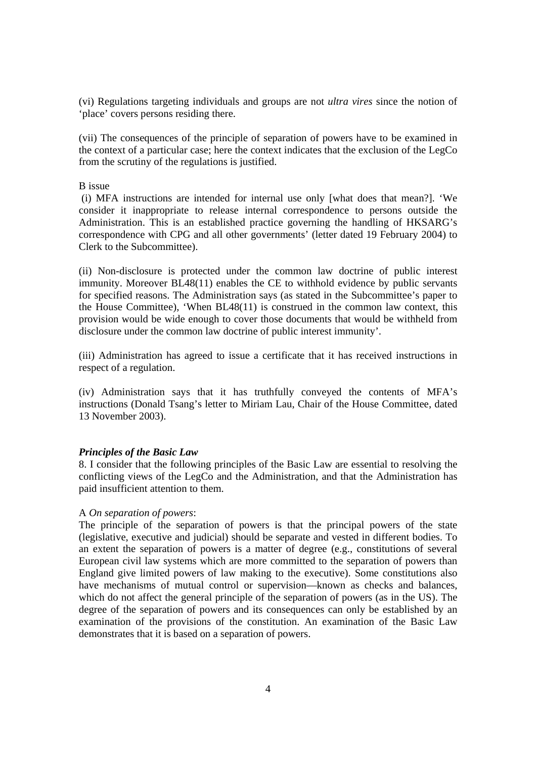(vi) Regulations targeting individuals and groups are not *ultra vires* since the notion of 'place' covers persons residing there.

(vii) The consequences of the principle of separation of powers have to be examined in the context of a particular case; here the context indicates that the exclusion of the LegCo from the scrutiny of the regulations is justified.

B issue

 (i) MFA instructions are intended for internal use only [what does that mean?]. 'We consider it inappropriate to release internal correspondence to persons outside the Administration. This is an established practice governing the handling of HKSARG's correspondence with CPG and all other governments' (letter dated 19 February 2004) to Clerk to the Subcommittee).

(ii) Non-disclosure is protected under the common law doctrine of public interest immunity. Moreover BL48(11) enables the CE to withhold evidence by public servants for specified reasons. The Administration says (as stated in the Subcommittee's paper to the House Committee), 'When BL48(11) is construed in the common law context, this provision would be wide enough to cover those documents that would be withheld from disclosure under the common law doctrine of public interest immunity'.

(iii) Administration has agreed to issue a certificate that it has received instructions in respect of a regulation.

(iv) Administration says that it has truthfully conveyed the contents of MFA's instructions (Donald Tsang's letter to Miriam Lau, Chair of the House Committee, dated 13 November 2003).

### *Principles of the Basic Law*

8. I consider that the following principles of the Basic Law are essential to resolving the conflicting views of the LegCo and the Administration, and that the Administration has paid insufficient attention to them.

### A *On separation of powers*:

The principle of the separation of powers is that the principal powers of the state (legislative, executive and judicial) should be separate and vested in different bodies. To an extent the separation of powers is a matter of degree (e.g., constitutions of several European civil law systems which are more committed to the separation of powers than England give limited powers of law making to the executive). Some constitutions also have mechanisms of mutual control or supervision—known as checks and balances, which do not affect the general principle of the separation of powers (as in the US). The degree of the separation of powers and its consequences can only be established by an examination of the provisions of the constitution. An examination of the Basic Law demonstrates that it is based on a separation of powers.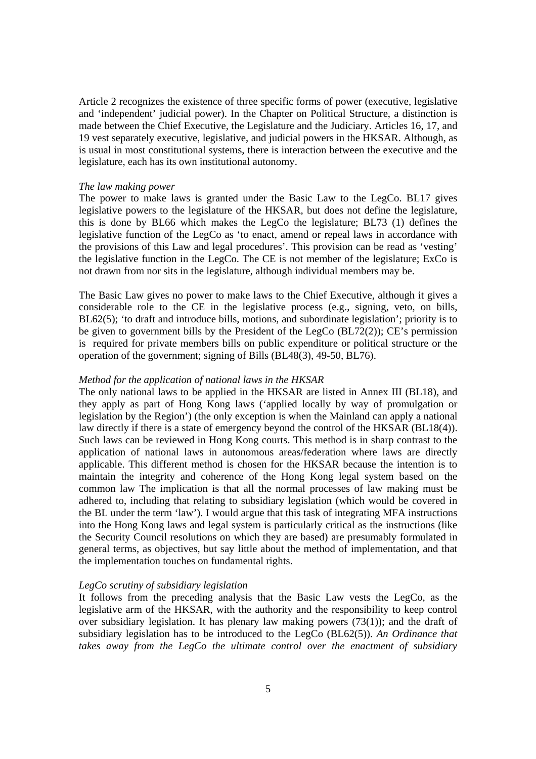Article 2 recognizes the existence of three specific forms of power (executive, legislative and 'independent' judicial power). In the Chapter on Political Structure, a distinction is made between the Chief Executive, the Legislature and the Judiciary. Articles 16, 17, and 19 vest separately executive, legislative, and judicial powers in the HKSAR. Although, as is usual in most constitutional systems, there is interaction between the executive and the legislature, each has its own institutional autonomy.

#### *The law making power*

The power to make laws is granted under the Basic Law to the LegCo. BL17 gives legislative powers to the legislature of the HKSAR, but does not define the legislature, this is done by BL66 which makes the LegCo the legislature; BL73 (1) defines the legislative function of the LegCo as 'to enact, amend or repeal laws in accordance with the provisions of this Law and legal procedures'. This provision can be read as 'vesting' the legislative function in the LegCo. The CE is not member of the legislature; ExCo is not drawn from nor sits in the legislature, although individual members may be.

The Basic Law gives no power to make laws to the Chief Executive, although it gives a considerable role to the CE in the legislative process (e.g., signing, veto, on bills, BL62(5); 'to draft and introduce bills, motions, and subordinate legislation'; priority is to be given to government bills by the President of the LegCo (BL72(2)); CE's permission is required for private members bills on public expenditure or political structure or the operation of the government; signing of Bills (BL48(3), 49-50, BL76).

#### *Method for the application of national laws in the HKSAR*

The only national laws to be applied in the HKSAR are listed in Annex III (BL18), and they apply as part of Hong Kong laws ('applied locally by way of promulgation or legislation by the Region') (the only exception is when the Mainland can apply a national law directly if there is a state of emergency beyond the control of the HKSAR (BL18(4)). Such laws can be reviewed in Hong Kong courts. This method is in sharp contrast to the application of national laws in autonomous areas/federation where laws are directly applicable. This different method is chosen for the HKSAR because the intention is to maintain the integrity and coherence of the Hong Kong legal system based on the common law The implication is that all the normal processes of law making must be adhered to, including that relating to subsidiary legislation (which would be covered in the BL under the term 'law'). I would argue that this task of integrating MFA instructions into the Hong Kong laws and legal system is particularly critical as the instructions (like the Security Council resolutions on which they are based) are presumably formulated in general terms, as objectives, but say little about the method of implementation, and that the implementation touches on fundamental rights.

#### *LegCo scrutiny of subsidiary legislation*

It follows from the preceding analysis that the Basic Law vests the LegCo, as the legislative arm of the HKSAR, with the authority and the responsibility to keep control over subsidiary legislation. It has plenary law making powers (73(1)); and the draft of subsidiary legislation has to be introduced to the LegCo (BL62(5)). *An Ordinance that takes away from the LegCo the ultimate control over the enactment of subsidiary*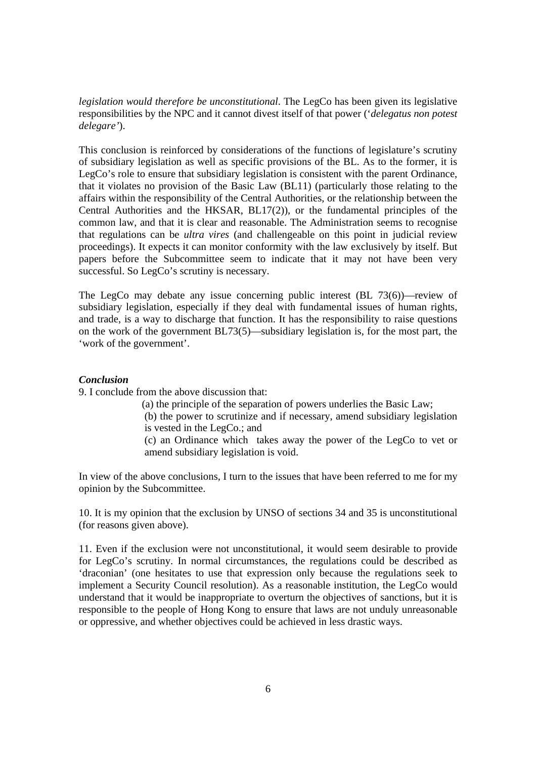*legislation would therefore be unconstitutional*. The LegCo has been given its legislative responsibilities by the NPC and it cannot divest itself of that power ('*delegatus non potest delegare'*).

This conclusion is reinforced by considerations of the functions of legislature's scrutiny of subsidiary legislation as well as specific provisions of the BL. As to the former, it is LegCo's role to ensure that subsidiary legislation is consistent with the parent Ordinance, that it violates no provision of the Basic Law (BL11) (particularly those relating to the affairs within the responsibility of the Central Authorities, or the relationship between the Central Authorities and the HKSAR, BL17(2)), or the fundamental principles of the common law, and that it is clear and reasonable. The Administration seems to recognise that regulations can be *ultra vires* (and challengeable on this point in judicial review proceedings). It expects it can monitor conformity with the law exclusively by itself. But papers before the Subcommittee seem to indicate that it may not have been very successful. So LegCo's scrutiny is necessary.

The LegCo may debate any issue concerning public interest (BL 73(6))—review of subsidiary legislation, especially if they deal with fundamental issues of human rights, and trade, is a way to discharge that function. It has the responsibility to raise questions on the work of the government BL73(5)—subsidiary legislation is, for the most part, the 'work of the government'.

## *Conclusion*

9. I conclude from the above discussion that:

- (a) the principle of the separation of powers underlies the Basic Law;
- (b) the power to scrutinize and if necessary, amend subsidiary legislation is vested in the LegCo.; and
- (c) an Ordinance which takes away the power of the LegCo to vet or amend subsidiary legislation is void.

In view of the above conclusions, I turn to the issues that have been referred to me for my opinion by the Subcommittee.

10. It is my opinion that the exclusion by UNSO of sections 34 and 35 is unconstitutional (for reasons given above).

11. Even if the exclusion were not unconstitutional, it would seem desirable to provide for LegCo's scrutiny. In normal circumstances, the regulations could be described as 'draconian' (one hesitates to use that expression only because the regulations seek to implement a Security Council resolution). As a reasonable institution, the LegCo would understand that it would be inappropriate to overturn the objectives of sanctions, but it is responsible to the people of Hong Kong to ensure that laws are not unduly unreasonable or oppressive, and whether objectives could be achieved in less drastic ways.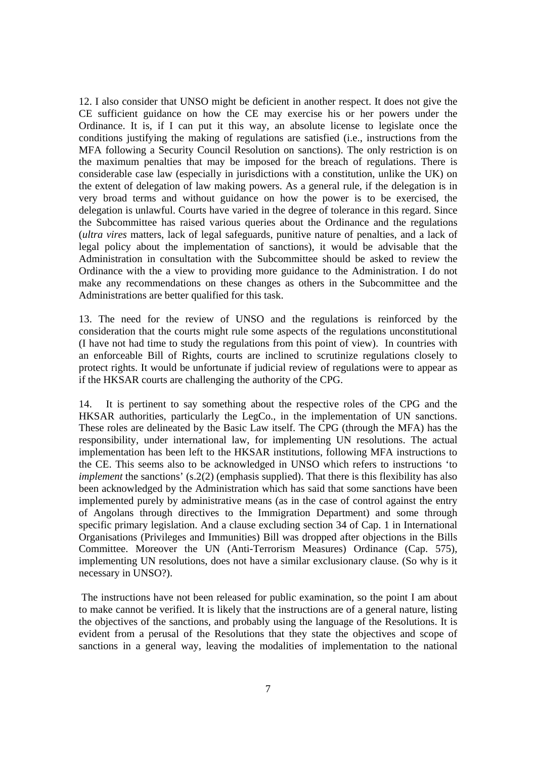12. I also consider that UNSO might be deficient in another respect. It does not give the CE sufficient guidance on how the CE may exercise his or her powers under the Ordinance. It is, if I can put it this way, an absolute license to legislate once the conditions justifying the making of regulations are satisfied (i.e., instructions from the MFA following a Security Council Resolution on sanctions). The only restriction is on the maximum penalties that may be imposed for the breach of regulations. There is considerable case law (especially in jurisdictions with a constitution, unlike the UK) on the extent of delegation of law making powers. As a general rule, if the delegation is in very broad terms and without guidance on how the power is to be exercised, the delegation is unlawful. Courts have varied in the degree of tolerance in this regard. Since the Subcommittee has raised various queries about the Ordinance and the regulations (*ultra vires* matters, lack of legal safeguards, punitive nature of penalties, and a lack of legal policy about the implementation of sanctions), it would be advisable that the Administration in consultation with the Subcommittee should be asked to review the Ordinance with the a view to providing more guidance to the Administration. I do not make any recommendations on these changes as others in the Subcommittee and the Administrations are better qualified for this task.

13. The need for the review of UNSO and the regulations is reinforced by the consideration that the courts might rule some aspects of the regulations unconstitutional (I have not had time to study the regulations from this point of view). In countries with an enforceable Bill of Rights, courts are inclined to scrutinize regulations closely to protect rights. It would be unfortunate if judicial review of regulations were to appear as if the HKSAR courts are challenging the authority of the CPG.

14. It is pertinent to say something about the respective roles of the CPG and the HKSAR authorities, particularly the LegCo., in the implementation of UN sanctions. These roles are delineated by the Basic Law itself. The CPG (through the MFA) has the responsibility, under international law, for implementing UN resolutions. The actual implementation has been left to the HKSAR institutions, following MFA instructions to the CE. This seems also to be acknowledged in UNSO which refers to instructions 'to *implement* the sanctions' (s.2(2) (emphasis supplied). That there is this flexibility has also been acknowledged by the Administration which has said that some sanctions have been implemented purely by administrative means (as in the case of control against the entry of Angolans through directives to the Immigration Department) and some through specific primary legislation. And a clause excluding section 34 of Cap. 1 in International Organisations (Privileges and Immunities) Bill was dropped after objections in the Bills Committee. Moreover the UN (Anti-Terrorism Measures) Ordinance (Cap. 575), implementing UN resolutions, does not have a similar exclusionary clause. (So why is it necessary in UNSO?).

 The instructions have not been released for public examination, so the point I am about to make cannot be verified. It is likely that the instructions are of a general nature, listing the objectives of the sanctions, and probably using the language of the Resolutions. It is evident from a perusal of the Resolutions that they state the objectives and scope of sanctions in a general way, leaving the modalities of implementation to the national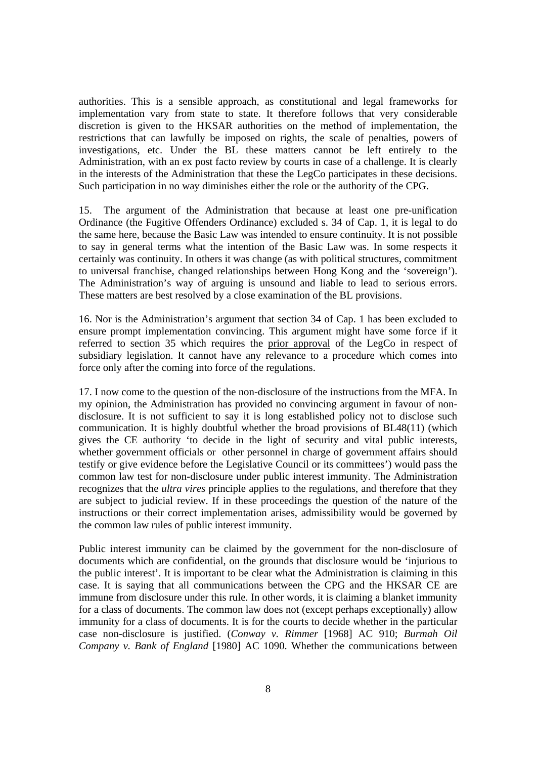authorities. This is a sensible approach, as constitutional and legal frameworks for implementation vary from state to state. It therefore follows that very considerable discretion is given to the HKSAR authorities on the method of implementation, the restrictions that can lawfully be imposed on rights, the scale of penalties, powers of investigations, etc. Under the BL these matters cannot be left entirely to the Administration, with an ex post facto review by courts in case of a challenge. It is clearly in the interests of the Administration that these the LegCo participates in these decisions. Such participation in no way diminishes either the role or the authority of the CPG.

15. The argument of the Administration that because at least one pre-unification Ordinance (the Fugitive Offenders Ordinance) excluded s. 34 of Cap. 1, it is legal to do the same here, because the Basic Law was intended to ensure continuity. It is not possible to say in general terms what the intention of the Basic Law was. In some respects it certainly was continuity. In others it was change (as with political structures, commitment to universal franchise, changed relationships between Hong Kong and the 'sovereign'). The Administration's way of arguing is unsound and liable to lead to serious errors. These matters are best resolved by a close examination of the BL provisions.

16. Nor is the Administration's argument that section 34 of Cap. 1 has been excluded to ensure prompt implementation convincing. This argument might have some force if it referred to section 35 which requires the prior approval of the LegCo in respect of subsidiary legislation. It cannot have any relevance to a procedure which comes into force only after the coming into force of the regulations.

17. I now come to the question of the non-disclosure of the instructions from the MFA. In my opinion, the Administration has provided no convincing argument in favour of nondisclosure. It is not sufficient to say it is long established policy not to disclose such communication. It is highly doubtful whether the broad provisions of BL48(11) (which gives the CE authority 'to decide in the light of security and vital public interests, whether government officials or other personnel in charge of government affairs should testify or give evidence before the Legislative Council or its committees') would pass the common law test for non-disclosure under public interest immunity. The Administration recognizes that the *ultra vires* principle applies to the regulations, and therefore that they are subject to judicial review. If in these proceedings the question of the nature of the instructions or their correct implementation arises, admissibility would be governed by the common law rules of public interest immunity.

Public interest immunity can be claimed by the government for the non-disclosure of documents which are confidential, on the grounds that disclosure would be 'injurious to the public interest'. It is important to be clear what the Administration is claiming in this case. It is saying that all communications between the CPG and the HKSAR CE are immune from disclosure under this rule. In other words, it is claiming a blanket immunity for a class of documents. The common law does not (except perhaps exceptionally) allow immunity for a class of documents. It is for the courts to decide whether in the particular case non-disclosure is justified. (*Conway v. Rimmer* [1968] AC 910; *Burmah Oil Company v. Bank of England* [1980] AC 1090. Whether the communications between